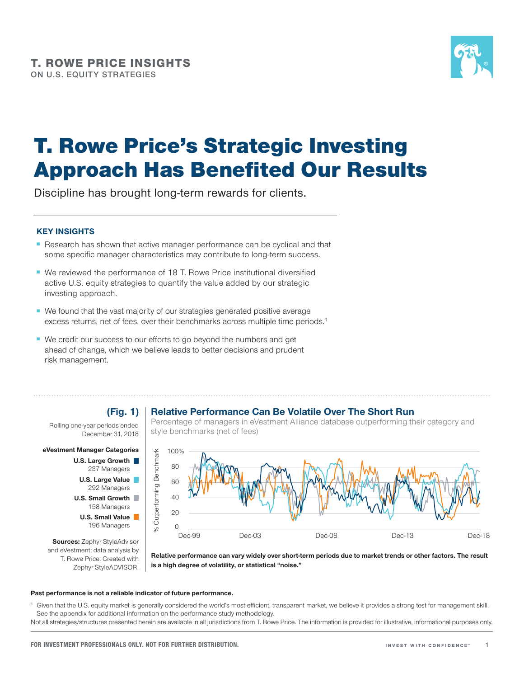

# T. Rowe Price's Strategic Investing Approach Has Benefited Our Results

Discipline has brought long-term rewards for clients.

### **KEY INSIGHTS**

- Research has shown that active manager performance can be cyclical and that some specific manager characteristics may contribute to long-term success.
- We reviewed the performance of 18 T. Rowe Price institutional diversified active U.S. equity strategies to quantify the value added by our strategic investing approach.
- We found that the vast majority of our strategies generated positive average excess returns, net of fees, over their benchmarks across multiple time periods.<sup>1</sup>
- We credit our success to our efforts to go beyond the numbers and get ahead of change, which we believe leads to better decisions and prudent risk management.

### **Relative Performance Can Be Volatile Over The Short Run**

Rolling one‑year periods ended December 31, 2018

**(Fig. 1)**

### **eVestment Manager Categories**



**Sources:** Zephyr StyleAdvisor and eVestment; data analysis by T. Rowe Price. Created with Zephyr StyleADVISOR.

Percentage of managers in eVestment Alliance database outperforming their category and style benchmarks (net of fees)



**Relative performance can vary widely over short‑term periods due to market trends or other factors. The result is a high degree of volatility, or statistical "noise."**

### **Past performance is not a reliable indicator of future performance.**

Given that the U.S. equity market is generally considered the world's most efficient, transparent market, we believe it provides a strong test for management skill. See the appendix for additional information on the performance study methodology.

Not all strategies/structures presented herein are available in all jurisdictions from T. Rowe Price. The information is provided for illustrative, informational purposes only.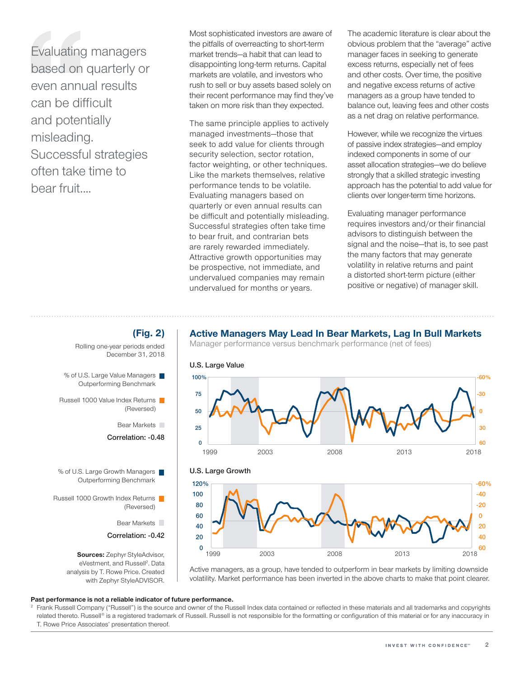Evaluating managers based on quarterly or even annual results can be difficult and potentially misleading. Successful strategies often take time to bear fruit....

Most sophisticated investors are aware of the pitfalls of overreacting to short-term market trends—a habit that can lead to disappointing long‑term returns. Capital markets are volatile, and investors who rush to sell or buy assets based solely on their recent performance may find they've taken on more risk than they expected.

The same principle applies to actively managed investments—those that seek to add value for clients through security selection, sector rotation, factor weighting, or other techniques. Like the markets themselves, relative performance tends to be volatile. Evaluating managers based on quarterly or even annual results can be difficult and potentially misleading. Successful strategies often take time to bear fruit, and contrarian bets are rarely rewarded immediately. Attractive growth opportunities may be prospective, not immediate, and undervalued companies may remain undervalued for months or years.

The academic literature is clear about the obvious problem that the "average" active manager faces in seeking to generate excess returns, especially net of fees and other costs. Over time, the positive and negative excess returns of active managers as a group have tended to balance out, leaving fees and other costs as a net drag on relative performance.

However, while we recognize the virtues of passive index strategies—and employ indexed components in some of our asset allocation strategies—we do believe strongly that a skilled strategic investing approach has the potential to add value for clients over longer-term time horizons.

Evaluating manager performance requires investors and/or their financial advisors to distinguish between the signal and the noise—that is, to see past the many factors that may generate volatility in relative returns and paint a distorted short‑term picture (either positive or negative) of manager skill.

### **Active Managers May Lead In Bear Markets, Lag In Bull Markets**

Manager performance versus benchmark performance (net of fees)



Active managers, as a group, have tended to outperform in bear markets by limiting downside volatility. Market performance has been inverted in the above charts to make that point clearer.

### **Past performance is not a reliable indicator of future performance.**

<sup>2</sup> Frank Russell Company ("Russell") is the source and owner of the Russell Index data contained or reflected in these materials and all trademarks and copyrights related thereto. Russell® is a registered trademark of Russell. Russell is not responsible for the formatting or configuration of this material or for any inaccuracy in T. Rowe Price Associates' presentation thereof.



- % of U.S. Large Value Managers Outperforming Benchmark
- Russell 1000 Value Index Returns (Reversed)
	- Bear Markets
	- **Correlation: ‑0.48**
- % of U.S. Large Growth Managers Outperforming Benchmark
- Russell 1000 Growth Index Returns (Reversed)
	- Bear Markets
	- **Correlation: ‑0.42**

**Sources:** Zephyr StyleAdvisor, eVestment, and Russell<sup>2</sup>. Data analysis by T. Rowe Price. Created with Zephyr StyleADVISOR.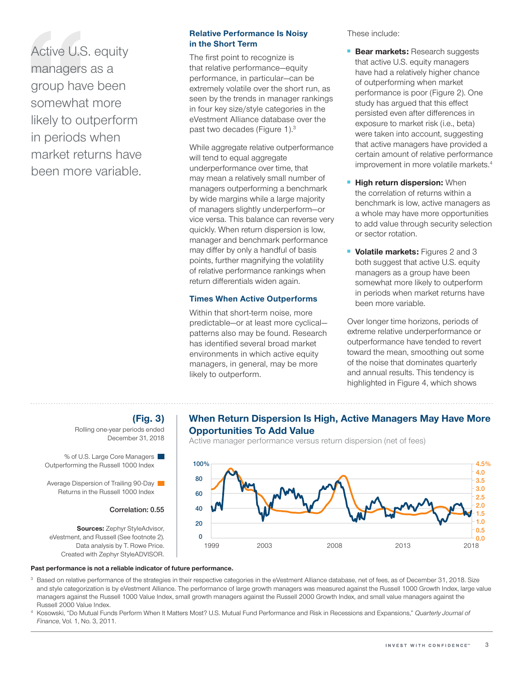Active U.S. equity managers as a group have been somewhat more likely to outperform in periods when market returns have been more variable.

### **Relative Performance Is Noisy in the Short Term**

The first point to recognize is that relative performance—equity performance, in particular—can be extremely volatile over the short run, as seen by the trends in manager rankings in four key size/style categories in the eVestment Alliance database over the past two decades (Figure 1).3

While aggregate relative outperformance will tend to equal aggregate underperformance over time, that may mean a relatively small number of managers outperforming a benchmark by wide margins while a large majority of managers slightly underperform—or vice versa. This balance can reverse very quickly. When return dispersion is low, manager and benchmark performance may differ by only a handful of basis points, further magnifying the volatility of relative performance rankings when return differentials widen again.

### **Times When Active Outperforms**

Within that short-term noise, more predictable—or at least more cyclical patterns also may be found. Research has identified several broad market environments in which active equity managers, in general, may be more likely to outperform.

These include:

- **Bear markets: Research suggests** that active U.S. equity managers have had a relatively higher chance of outperforming when market performance is poor (Figure 2). One study has argued that this effect persisted even after differences in exposure to market risk (i.e., beta) were taken into account, suggesting that active managers have provided a certain amount of relative performance improvement in more volatile markets.<sup>4</sup>
- **High return dispersion: When** the correlation of returns within a benchmark is low, active managers as a whole may have more opportunities to add value through security selection or sector rotation.
- **Volatile markets:** Figures 2 and 3 both suggest that active U.S. equity managers as a group have been somewhat more likely to outperform in periods when market returns have been more variable.

Over longer time horizons, periods of extreme relative underperformance or outperformance have tended to revert toward the mean, smoothing out some of the noise that dominates quarterly and annual results. This tendency is highlighted in Figure 4, which shows

# **When Return Dispersion Is High, Active Managers May Have More Opportunities To Add Value**

Active manager performance versus return dispersion (net of fees)



# **(Fig. 3)**

Rolling one‑year periods ended December 31, 2018

% of U.S. Large Core Managers Outperforming the Russell 1000 Index

Average Dispersion of Trailing 90-Day Returns in the Russell 1000 Index

### **Correlation: 0.55**

**Sources:** Zephyr StyleAdvisor, eVestment, and Russell (See footnote 2). Data analysis by T. Rowe Price. Created with Zephyr StyleADVISOR.

### **Past performance is not a reliable indicator of future performance.**

- <sup>3</sup> Based on relative performance of the strategies in their respective categories in the eVestment Alliance database, net of fees, as of December 31, 2018. Size and style categorization is by eVestment Alliance. The performance of large growth managers was measured against the Russell 1000 Growth Index, large value managers against the Russell 1000 Value Index, small growth managers against the Russell 2000 Growth Index, and small value managers against the Russell 2000 Value Index.
- <sup>4</sup> Kosowski, "Do Mutual Funds Perform When It Matters Most? U.S. Mutual Fund Performance and Risk in Recessions and Expansions," *Quarterly Journal of Finance*, Vol. 1, No. 3, 2011.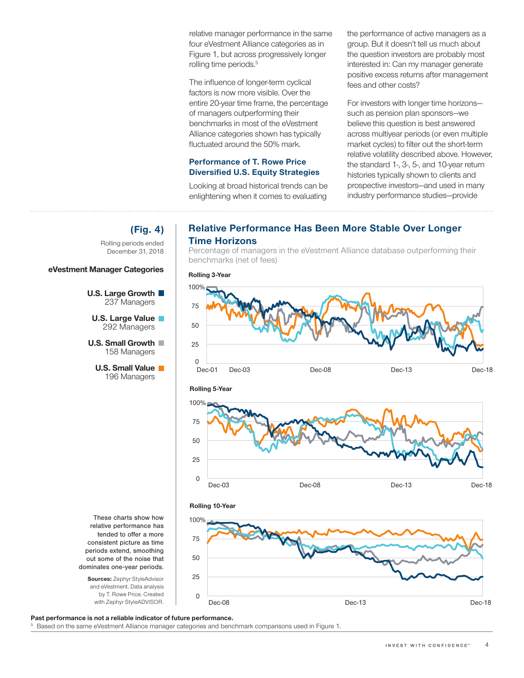relative manager performance in the same four eVestment Alliance categories as in Figure 1, but across progressively longer rolling time periods.<sup>5</sup>

The influence of longer-term cyclical factors is now more visible. Over the entire 20‑year time frame, the percentage of managers outperforming their benchmarks in most of the eVestment Alliance categories shown has typically fluctuated around the 50% mark.

### **Performance of T. Rowe Price Diversified U.S. Equity Strategies**

Looking at broad historical trends can be enlightening when it comes to evaluating

the performance of active managers as a group. But it doesn't tell us much about the question investors are probably most interested in: Can my manager generate positive excess returns after management fees and other costs?

For investors with longer time horizons such as pension plan sponsors—we believe this question is best answered across multiyear periods (or even multiple market cycles) to filter out the short-term relative volatility described above. However, the standard 1‑, 3‑, 5‑, and 10‑year return histories typically shown to clients and prospective investors—and used in many industry performance studies—provide

# **Relative Performance Has Been More Stable Over Longer Time Horizons**

Percentage of managers in the eVestment Alliance database outperforming their benchmarks (net of fees)







**(Fig. 4)**

Rolling periods ended December 31, 2018

**U.S. Large Growth**  237 Managers **U.S. Large Value** 292 Managers **U.S. Small Growth** 158 Managers **U.S. Small Value** 196 Managers

**eVestment Manager Categories**

**Sources:** Zephyr StyleAdvisor and eVestment. Data analysis by T. Rowe Price. Created with Zephyr StyleADVISOR.

**Past performance is not a reliable indicator of future performance.**

<sup>5</sup> Based on the same eVestment Alliance manager categories and benchmark comparisons used in Figure 1.

0

25

50

75

100%

**Rolling 10‑Year**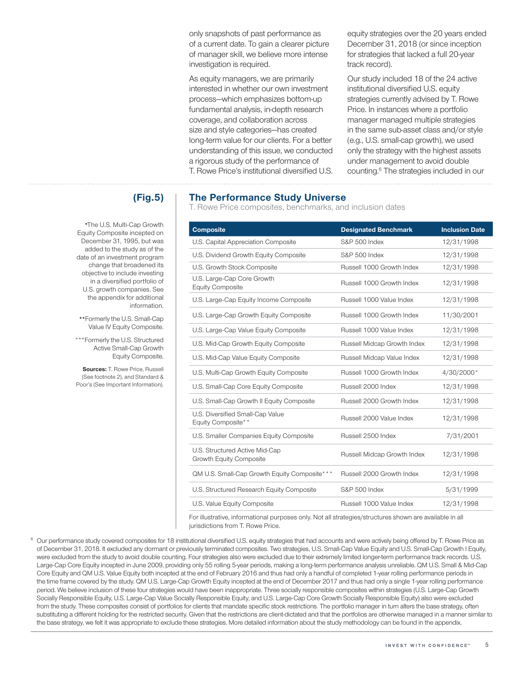only snapshots of past performance as of a current date. To gain a clearer picture of manager skill, we believe more intense investigation is required.

As equity managers, we are primarily interested in whether our own investment process—which emphasizes bottom‑up fundamental analysis, in‑depth research coverage, and collaboration across size and style categories—has created long‑term value for our clients. For a better understanding of this issue, we conducted a rigorous study of the performance of T. Rowe Price's institutional diversified U.S. equity strategies over the 20 years ended December 31, 2018 (or since inception for strategies that lacked a full 20‑year track record).

Our study included 18 of the 24 active institutional diversified U.S. equity strategies currently advised by T. Rowe Price. In instances where a portfolio manager managed multiple strategies in the same sub‑asset class and/or style (e.g., U.S. small-cap growth), we used only the strategy with the highest assets under management to avoid double counting.6 The strategies included in our

# **(Fig.5)**

**\***The U.S. Multi‑Cap Growth Equity Composite incepted on December 31, 1995, but was added to the study as of the date of an investment program change that broadened its objective to include investing in a diversified portfolio of U.S. growth companies. See the appendix for additional information.

**\*\***Formerly the U.S. Small‑Cap Value IV Equity Composite.

\*\*\*Formerly the U.S. Structured Active Small‑Cap Growth Equity Composite.

**Sources:** T. Rowe Price, Russell (See footnote 2), and Standard & Poor's (See Important Information).

### **The Performance Study Universe**

T. Rowe Price composites, benchmarks, and inclusion dates

| <b>Composite</b>                                          | <b>Designated Benchmark</b> | <b>Inclusion Date</b> |
|-----------------------------------------------------------|-----------------------------|-----------------------|
| U.S. Capital Appreciation Composite                       | S&P 500 Index               | 12/31/1998            |
| U.S. Dividend Growth Equity Composite                     | <b>S&amp;P 500 Index</b>    | 12/31/1998            |
| U.S. Growth Stock Composite                               | Russell 1000 Growth Index   | 12/31/1998            |
| U.S. Large-Cap Core Growth<br><b>Equity Composite</b>     | Russell 1000 Growth Index   | 12/31/1998            |
| U.S. Large-Cap Equity Income Composite                    | Russell 1000 Value Index    | 12/31/1998            |
| U.S. Large-Cap Growth Equity Composite                    | Russell 1000 Growth Index   | 11/30/2001            |
| U.S. Large-Cap Value Equity Composite                     | Russell 1000 Value Index    | 12/31/1998            |
| U.S. Mid-Cap Growth Equity Composite                      | Russell Midcap Growth Index | 12/31/1998            |
| U.S. Mid-Cap Value Equity Composite                       | Russell Midcap Value Index  | 12/31/1998            |
| U.S. Multi-Cap Growth Equity Composite                    | Russell 1000 Growth Index   | 4/30/2000*            |
| U.S. Small-Cap Core Equity Composite                      | Russell 2000 Index          | 12/31/1998            |
| U.S. Small-Cap Growth II Equity Composite                 | Russell 2000 Growth Index   | 12/31/1998            |
| U.S. Diversified Small-Cap Value<br>Equity Composite**    | Russell 2000 Value Index    | 12/31/1998            |
| U.S. Smaller Companies Equity Composite                   | Russell 2500 Index          | 7/31/2001             |
| U.S. Structured Active Mid-Cap<br>Growth Equity Composite | Russell Midcap Growth Index | 12/31/1998            |
| QM U.S. Small-Cap Growth Equity Composite* **             | Russell 2000 Growth Index   | 12/31/1998            |
| U.S. Structured Research Equity Composite                 | S&P 500 Index               | 5/31/1999             |
| U.S. Value Equity Composite                               | Russell 1000 Value Index    | 12/31/1998            |

For illustrative, informational purposes only. Not all strategies/structures shown are available in all jurisdictions from T. Rowe Price.

<sup>6</sup> Our performance study covered composites for 18 institutional diversified U.S. equity strategies that had accounts and were actively being offered by T. Rowe Price as of December 31, 2018. It excluded any dormant or previously terminated composites. Two strategies, U.S. Small-Cap Value Equity and U.S. Small-Cap Growth I Equity, were excluded from the study to avoid double counting. Four strategies also were excluded due to their extremely limited longer-term performance track records. U.S. Large-Cap Core Equity incepted in June 2009, providing only 55 rolling 5-year periods, making a long-term performance analysis unreliable. QM U.S. Small & Mid-Cap Core Equity and QM U.S. Value Equity both incepted at the end of February 2016 and thus had only a handful of completed 1‑year rolling performance periods in the time frame covered by the study. QM U.S. Large-Cap Growth Equity incepted at the end of December 2017 and thus had only a single 1-year rolling performance period. We believe inclusion of these four strategies would have been inappropriate. Three socially responsible composites within strategies (U.S. Large-Cap Growth Socially Responsible Equity, U.S. Large-Cap Value Socially Responsible Equity, and U.S. Large-Cap Core Growth Socially Responsible Equity) also were excluded from the study. These composites consist of portfolios for clients that mandate specific stock restrictions. The portfolio manager in turn alters the base strategy, often substituting a different holding for the restricted security. Given that the restrictions are client-dictated and that the portfolios are otherwise managed in a manner similar to the base strategy, we felt it was appropriate to exclude these strategies. More detailed information about the study methodology can be found in the appendix.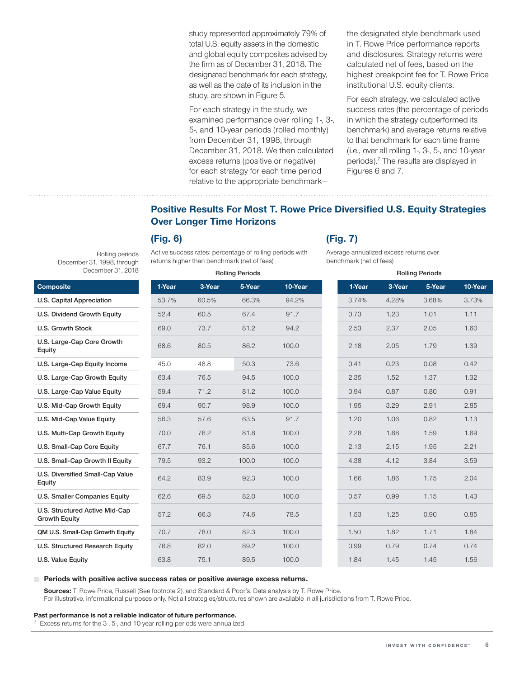study represented approximately 79% of total U.S. equity assets in the domestic and global equity composites advised by the firm as of December 31, 2018. The designated benchmark for each strategy, as well as the date of its inclusion in the study, are shown in Figure 5.

For each strategy in the study, we examined performance over rolling 1‑, 3‑, 5‑, and 10‑year periods (rolled monthly) from December 31, 1998, through December 31, 2018. We then calculated excess returns (positive or negative) for each strategy for each time period relative to the appropriate benchmarkthe designated style benchmark used in T. Rowe Price performance reports and disclosures. Strategy returns were calculated net of fees, based on the highest breakpoint fee for T. Rowe Price institutional U.S. equity clients.

For each strategy, we calculated active success rates (the percentage of periods in which the strategy outperformed its benchmark) and average returns relative to that benchmark for each time frame (i.e., over all rolling 1‑, 3‑, 5‑, and 10‑year periods).<sup>7</sup> The results are displayed in Figures 6 and 7.

# **Positive Results For Most T. Rowe Price Diversified U.S. Equity Strategies Over Longer Time Horizons**

### **(Fig. 6)**

Rolling periods

December 31, 1998, through December 31, 2018

Active success rates: percentage of rolling periods with returns higher than benchmark (net of fees)

# **(Fig. 7)**

Average annualized excess returns over benchmark (net of fees)

| December 31, 2018                                      |        |        | <b>Rolling Periods</b> |         |        | <b>Rolling Periods</b> |        |  |
|--------------------------------------------------------|--------|--------|------------------------|---------|--------|------------------------|--------|--|
| <b>Composite</b>                                       | 1-Year | 3-Year | 5-Year                 | 10-Year | 1-Year | 3-Year                 | 5-Year |  |
| U.S. Capital Appreciation                              | 53.7%  | 60.5%  | 66.3%                  | 94.2%   | 3.74%  | 4.28%                  | 3.68%  |  |
| U.S. Dividend Growth Equity                            | 52.4   | 60.5   | 67.4                   | 91.7    | 0.73   | 1.23                   | 1.01   |  |
| <b>U.S. Growth Stock</b>                               | 69.0   | 73.7   | 81.2                   | 94.2    | 2.53   | 2.37                   | 2.05   |  |
| U.S. Large-Cap Core Growth<br>Equity                   | 68.6   | 80.5   | 86.2                   | 100.0   | 2.18   | 2.05                   | 1.79   |  |
| U.S. Large-Cap Equity Income                           | 45.0   | 48.8   | 50.3                   | 73.6    | 0.41   | 0.23                   | 0.08   |  |
| U.S. Large-Cap Growth Equity                           | 63.4   | 76.5   | 94.5                   | 100.0   | 2.35   | 1.52                   | 1.37   |  |
| U.S. Large-Cap Value Equity                            | 59.4   | 71.2   | 81.2                   | 100.0   | 0.94   | 0.87                   | 0.80   |  |
| U.S. Mid-Cap Growth Equity                             | 69.4   | 90.7   | 98.9                   | 100.0   | 1.95   | 3.29                   | 2.91   |  |
| U.S. Mid-Cap Value Equity                              | 56.3   | 57.6   | 63.5                   | 91.7    | 1.20   | 1.06                   | 0.82   |  |
| U.S. Multi-Cap Growth Equity                           | 70.0   | 76.2   | 81.8                   | 100.0   | 2.28   | 1.68                   | 1.59   |  |
| U.S. Small-Cap Core Equity                             | 67.7   | 76.1   | 85.6                   | 100.0   | 2.13   | 2.15                   | 1.95   |  |
| U.S. Small-Cap Growth II Equity                        | 79.5   | 93.2   | 100.0                  | 100.0   | 4.38   | 4.12                   | 3.84   |  |
| U.S. Diversified Small-Cap Value<br>Equity             | 64.2   | 83.9   | 92.3                   | 100.0   | 1.66   | 1.86                   | 1.75   |  |
| U.S. Smaller Companies Equity                          | 62.6   | 69.5   | 82.0                   | 100.0   | 0.57   | 0.99                   | 1.15   |  |
| U.S. Structured Active Mid-Cap<br><b>Growth Equity</b> | 57.2   | 66.3   | 74.6                   | 78.5    | 1.53   | 1.25                   | 0.90   |  |
| QM U.S. Small-Cap Growth Equity                        | 70.7   | 78.0   | 82.3                   | 100.0   | 1.50   | 1.82                   | 1.71   |  |
| <b>U.S. Structured Research Equity</b>                 | 76.8   | 82.0   | 89.2                   | 100.0   | 0.99   | 0.79                   | 0.74   |  |
| U.S. Value Equity                                      | 63.8   | 75.1   | 89.5                   | 100.0   | 1.84   | 1.45                   | 1.45   |  |

| <b>Rolling Periods</b> |        |        |         |  |  |  |  |  |
|------------------------|--------|--------|---------|--|--|--|--|--|
| 1-Year                 | 3-Year | 5-Year | 10-Year |  |  |  |  |  |
| 3.74%                  | 4.28%  | 3.68%  | 3.73%   |  |  |  |  |  |
| 0.73                   | 1.23   | 1.01   | 1.11    |  |  |  |  |  |
| 2.53                   | 2.37   | 2.05   | 1.60    |  |  |  |  |  |
| 2.18                   | 2.05   | 1.79   | 1.39    |  |  |  |  |  |
| 0.41                   | 0.23   | 0.08   | 0.42    |  |  |  |  |  |
| 2.35                   | 1.52   | 1.37   | 1.32    |  |  |  |  |  |
| 0.94                   | 0.87   | 0.80   | 0.91    |  |  |  |  |  |
| 1.95                   | 3.29   | 2.91   | 2.85    |  |  |  |  |  |
| 1.20                   | 1.06   | 0.82   | 1.13    |  |  |  |  |  |
| 2.28                   | 1.68   | 1.59   | 1.69    |  |  |  |  |  |
| 2.13                   | 2.15   | 1.95   | 2.21    |  |  |  |  |  |
| 4.38                   | 4.12   | 3.84   | 3.59    |  |  |  |  |  |
| 1.66                   | 1.86   | 1.75   | 2.04    |  |  |  |  |  |
| 0.57                   | 0.99   | 1.15   | 1.43    |  |  |  |  |  |
| 1.53                   | 1.25   | 0.90   | 0.85    |  |  |  |  |  |
| 1.50                   | 1.82   | 1.71   | 1.84    |  |  |  |  |  |
| 0.99                   | 0.79   | 0.74   | 0.74    |  |  |  |  |  |
| 1.84                   | 1.45   | 1.45   | 1.56    |  |  |  |  |  |

### **Periods with positive active success rates or positive average excess returns.**

**Sources:** T. Rowe Price, Russell (See footnote 2), and Standard & Poor's. Data analysis by T. Rowe Price.

For illustrative, informational purposes only. Not all strategies/structures shown are available in all jurisdictions from T. Rowe Price.

### **Past performance is not a reliable indicator of future performance.**

Excess returns for the 3-, 5-, and 10-year rolling periods were annualized.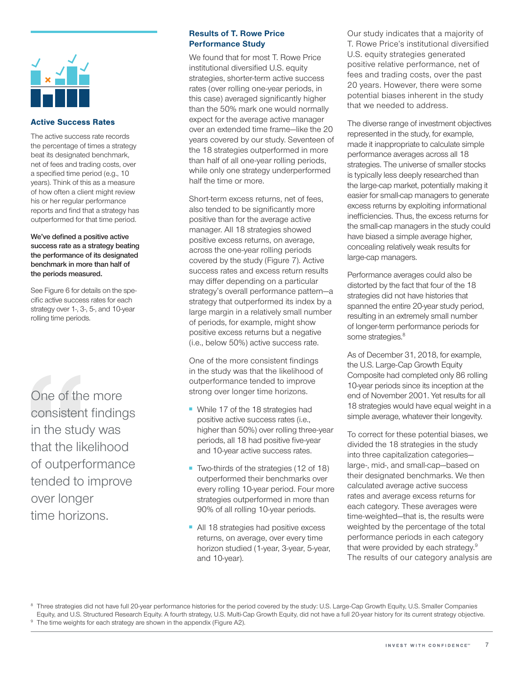

### Active Success Rates

The active success rate records the percentage of times a strategy beat its designated benchmark, net of fees and trading costs, over a specified time period (e.g., 10 years). Think of this as a measure of how often a client might review his or her regular performance reports and find that a strategy has outperformed for that time period.

**We've defined a positive active success rate as a strategy beating the performance of its designated benchmark in more than half of the periods measured.**

See Figure 6 for details on the specific active success rates for each strategy over 1‑, 3‑, 5‑, and 10‑year rolling time periods.

One of the more consistent findings in the study was that the likelihood of outperformance tended to improve over longer time horizons.

### **Results of T. Rowe Price Performance Study**

We found that for most T. Rowe Price institutional diversified U.S. equity strategies, shorter-term active success rates (over rolling one‑year periods, in this case) averaged significantly higher than the 50% mark one would normally expect for the average active manager over an extended time frame—like the 20 years covered by our study. Seventeen of the 18 strategies outperformed in more than half of all one‑year rolling periods, while only one strategy underperformed half the time or more.

Short-term excess returns, net of fees, also tended to be significantly more positive than for the average active manager. All 18 strategies showed positive excess returns, on average, across the one‑year rolling periods covered by the study (Figure 7). Active success rates and excess return results may differ depending on a particular strategy's overall performance pattern—a strategy that outperformed its index by a large margin in a relatively small number of periods, for example, might show positive excess returns but a negative (i.e., below 50%) active success rate.

One of the more consistent findings in the study was that the likelihood of outperformance tended to improve strong over longer time horizons.

- While 17 of the 18 strategies had positive active success rates (i.e., higher than 50%) over rolling three‑year periods, all 18 had positive five‑year and 10‑year active success rates.
- Two-thirds of the strategies (12 of 18) outperformed their benchmarks over every rolling 10‑year period. Four more strategies outperformed in more than 90% of all rolling 10-year periods.
- All 18 strategies had positive excess returns, on average, over every time horizon studied (1‑year, 3‑year, 5‑year, and 10‑year).

Our study indicates that a majority of T. Rowe Price's institutional diversified U.S. equity strategies generated positive relative performance, net of fees and trading costs, over the past 20 years. However, there were some potential biases inherent in the study that we needed to address.

The diverse range of investment objectives represented in the study, for example, made it inappropriate to calculate simple performance averages across all 18 strategies. The universe of smaller stocks is typically less deeply researched than the large‑cap market, potentially making it easier for small-cap managers to generate excess returns by exploiting informational inefficiencies. Thus, the excess returns for the small-cap managers in the study could have biased a simple average higher, concealing relatively weak results for large‑cap managers.

Performance averages could also be distorted by the fact that four of the 18 strategies did not have histories that spanned the entire 20‑year study period, resulting in an extremely small number of longer‑term performance periods for some strategies.<sup>8</sup>

As of December 31, 2018, for example, the U.S. Large-Cap Growth Equity Composite had completed only 86 rolling 10‑year periods since its inception at the end of November 2001. Yet results for all 18 strategies would have equal weight in a simple average, whatever their longevity.

To correct for these potential biases, we divided the 18 strategies in the study into three capitalization categories large-, mid-, and small-cap-based on their designated benchmarks. We then calculated average active success rates and average excess returns for each category. These averages were time‑weighted—that is, the results were weighted by the percentage of the total performance periods in each category that were provided by each strategy.<sup>9</sup> The results of our category analysis are

<sup>8</sup> Three strategies did not have full 20-year performance histories for the period covered by the study: U.S. Large-Cap Growth Equity, U.S. Smaller Companies Equity, and U.S. Structured Research Equity. A fourth strategy, U.S. Multi-Cap Growth Equity, did not have a full 20-year history for its current strategy objective.<br><sup>9</sup> The time weights for each strategy are shown in the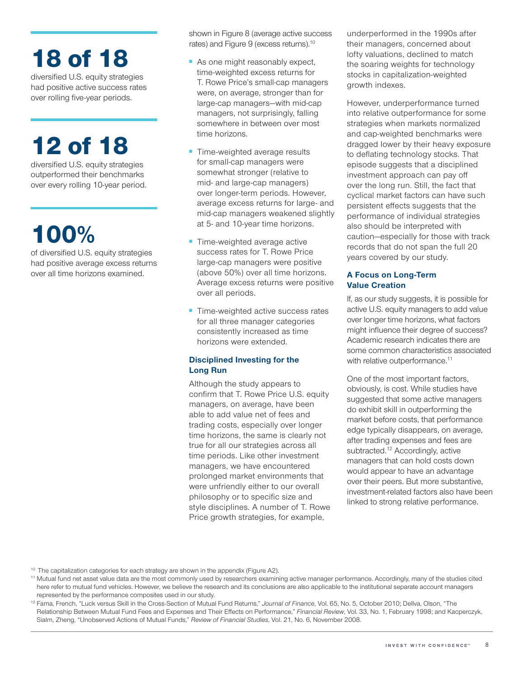# 18 of 18

diversified U.S. equity strategies had positive active success rates over rolling five‑year periods.

# 12 of 18

diversified U.S. equity strategies outperformed their benchmarks over every rolling 10‑year period.

# 100%

of diversified U.S. equity strategies had positive average excess returns over all time horizons examined.

shown in Figure 8 (average active success rates) and Figure 9 (excess returns).10

- As one might reasonably expect, time‑weighted excess returns for T. Rowe Price's small‑cap managers were, on average, stronger than for large-cap managers-with mid-cap managers, not surprisingly, falling somewhere in between over most time horizons.
- Time-weighted average results for small-cap managers were somewhat stronger (relative to mid‑ and large‑cap managers) over longer-term periods. However, average excess returns for large‑ and mid‑cap managers weakened slightly at 5‑ and 10‑year time horizons.
- Time-weighted average active success rates for T. Rowe Price large‑cap managers were positive (above 50%) over all time horizons. Average excess returns were positive over all periods.
- Time-weighted active success rates for all three manager categories consistently increased as time horizons were extended.

### **Disciplined Investing for the Long Run**

Although the study appears to confirm that T. Rowe Price U.S. equity managers, on average, have been able to add value net of fees and trading costs, especially over longer time horizons, the same is clearly not true for all our strategies across all time periods. Like other investment managers, we have encountered prolonged market environments that were unfriendly either to our overall philosophy or to specific size and style disciplines. A number of T. Rowe Price growth strategies, for example,

underperformed in the 1990s after their managers, concerned about lofty valuations, declined to match the soaring weights for technology stocks in capitalization‑weighted growth indexes.

However, underperformance turned into relative outperformance for some strategies when markets normalized and cap‑weighted benchmarks were dragged lower by their heavy exposure to deflating technology stocks. That episode suggests that a disciplined investment approach can pay off over the long run. Still, the fact that cyclical market factors can have such persistent effects suggests that the performance of individual strategies also should be interpreted with caution—especially for those with track records that do not span the full 20 years covered by our study.

### **A Focus on Long‑Term Value Creation**

If, as our study suggests, it is possible for active U.S. equity managers to add value over longer time horizons, what factors might influence their degree of success? Academic research indicates there are some common characteristics associated with relative outperformance.<sup>11</sup>

One of the most important factors, obviously, is cost. While studies have suggested that some active managers do exhibit skill in outperforming the market before costs, that performance edge typically disappears, on average, after trading expenses and fees are subtracted.<sup>12</sup> Accordingly, active managers that can hold costs down would appear to have an advantage over their peers. But more substantive, investment‑related factors also have been linked to strong relative performance.

<sup>10</sup> The capitalization categories for each strategy are shown in the appendix (Figure A2).

<sup>&</sup>lt;sup>11</sup> Mutual fund net asset value data are the most commonly used by researchers examining active manager performance. Accordingly, many of the studies cited here refer to mutual fund vehicles. However, we believe the research and its conclusions are also applicable to the institutional separate account managers represented by the performance composites used in our study.

<sup>12</sup> Fama, French, "Luck versus Skill in the Cross‑Section of Mutual Fund Returns," *Journal of Finance*, Vol. 65, No. 5, October 2010; Dellva, Olson, "The Relationship Between Mutual Fund Fees and Expenses and Their Effects on Performance," *Financial Review*, Vol. 33, No. 1, February 1998; and Kacperczyk, Sialm, Zheng, "Unobserved Actions of Mutual Funds," *Review of Financial Studies*, Vol. 21, No. 6, November 2008.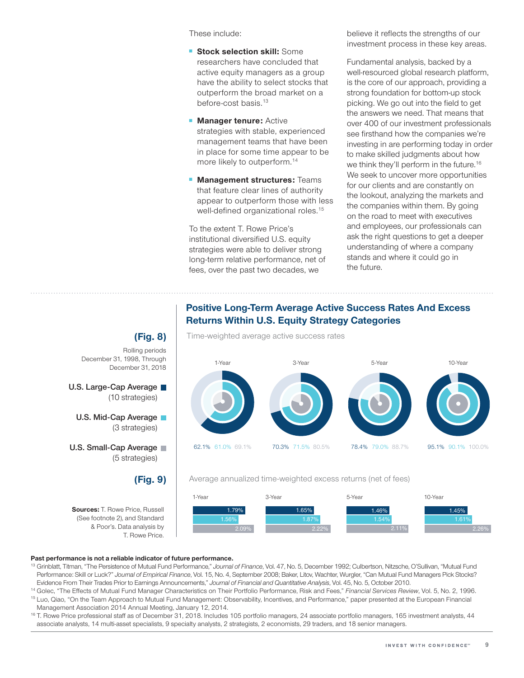These include:

- **Stock selection skill:** Some researchers have concluded that active equity managers as a group have the ability to select stocks that outperform the broad market on a before-cost basis.<sup>13</sup>
- **Manager tenure:** Active strategies with stable, experienced management teams that have been in place for some time appear to be more likely to outperform.<sup>14</sup>
- **Management structures:** Teams that feature clear lines of authority appear to outperform those with less well-defined organizational roles.<sup>15</sup>

To the extent T. Rowe Price's institutional diversified U.S. equity strategies were able to deliver strong long‑term relative performance, net of fees, over the past two decades, we

believe it reflects the strengths of our investment process in these key areas.

Fundamental analysis, backed by a well-resourced global research platform, is the core of our approach, providing a strong foundation for bottom‑up stock picking. We go out into the field to get the answers we need. That means that over 400 of our investment professionals see firsthand how the companies we're investing in are performing today in order to make skilled judgments about how we think they'll perform in the future.<sup>16</sup> We seek to uncover more opportunities for our clients and are constantly on the lookout, analyzing the markets and the companies within them. By going on the road to meet with executives and employees, our professionals can ask the right questions to get a deeper understanding of where a company stands and where it could go in the future.

### **Positive Long‑Term Average Active Success Rates And Excess Returns Within U.S. Equity Strategy Categories**



Time‑weighted average active success rates

### Average annualized time‑weighted excess returns (net of fees)



### **Past performance is not a reliable indicator of future performance.**

T. Rowe Price.

**(Fig. 9)**

**Sources:** T. Rowe Price, Russell (See footnote 2), and Standard & Poor's. Data analysis by

December 31, 1998, Through December 31, 2018

(10 strategies)

(5 strategies)

**U.S. Large‑Cap Average**

**U.S. Mid‑Cap Average** (3 strategies)

**U.S. Small‑Cap Average**

- <sup>13</sup> Grinblatt, Titman, "The Persistence of Mutual Fund Performance," *Journal of Finance*, Vol. 47, No. 5, December 1992; Culbertson, Nitzsche, O'Sullivan, "Mutual Fund Performance: Skill or Luck?" *Journal of Empirical Finance*, Vol. 15, No. 4, September 2008; Baker, Litov, Wachter, Wurgler, "Can Mutual Fund Managers Pick Stocks? Evidence From Their Trades Prior to Earnings Announcements," Journal of Financial and Quantitative Analysis, Vol. 45, No. 5, October 2010.<br><sup>14</sup> Golec, "The Effects of Mutual Fund Manager Characteristics on Their Portfolio
- <sup>15</sup> Luo, Qiao, "On the Team Approach to Mutual Fund Management: Observability, Incentives, and Performance," paper presented at the European Financial Management Association 2014 Annual Meeting, January 12, 2014.
- <sup>16</sup> T. Rowe Price professional staff as of December 31, 2018. Includes 105 portfolio managers, 24 associate portfolio managers, 165 investment analysts, 44 associate analysts, 14 multi‑asset specialists, 9 specialty analysts, 2 strategists, 2 economists, 29 traders, and 18 senior managers.

**(Fig. 8)** Rolling periods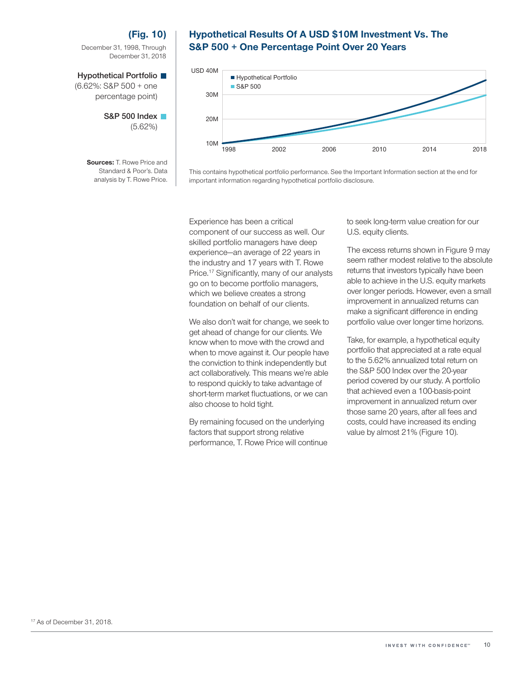### **(Fig. 10)**

December 31, 1998, Through December 31, 2018

### **Hypothetical Portfolio**

(6.62%: S&P 500 + one percentage point)

> **S&P 500 Index**  (5.62%)

**Sources:** T. Rowe Price and Standard & Poor's. Data analysis by T. Rowe Price.

### **Hypothetical Results Of A USD \$10M Investment Vs. The S&P 500 + One Percentage Point Over 20 Years**



This contains hypothetical portfolio performance. See the Important Information section at the end for important information regarding hypothetical portfolio disclosure.

Experience has been a critical component of our success as well. Our skilled portfolio managers have deep experience—an average of 22 years in the industry and 17 years with T. Rowe Price.17 Significantly, many of our analysts go on to become portfolio managers, which we believe creates a strong foundation on behalf of our clients.

We also don't wait for change, we seek to get ahead of change for our clients. We know when to move with the crowd and when to move against it. Our people have the conviction to think independently but act collaboratively. This means we're able to respond quickly to take advantage of short-term market fluctuations, or we can also choose to hold tight.

By remaining focused on the underlying factors that support strong relative performance, T. Rowe Price will continue to seek long‑term value creation for our U.S. equity clients.

The excess returns shown in Figure 9 may seem rather modest relative to the absolute returns that investors typically have been able to achieve in the U.S. equity markets over longer periods. However, even a small improvement in annualized returns can make a significant difference in ending portfolio value over longer time horizons.

Take, for example, a hypothetical equity portfolio that appreciated at a rate equal to the 5.62% annualized total return on the S&P 500 Index over the 20‑year period covered by our study. A portfolio that achieved even a 100-basis-point improvement in annualized return over those same 20 years, after all fees and costs, could have increased its ending value by almost 21% (Figure 10).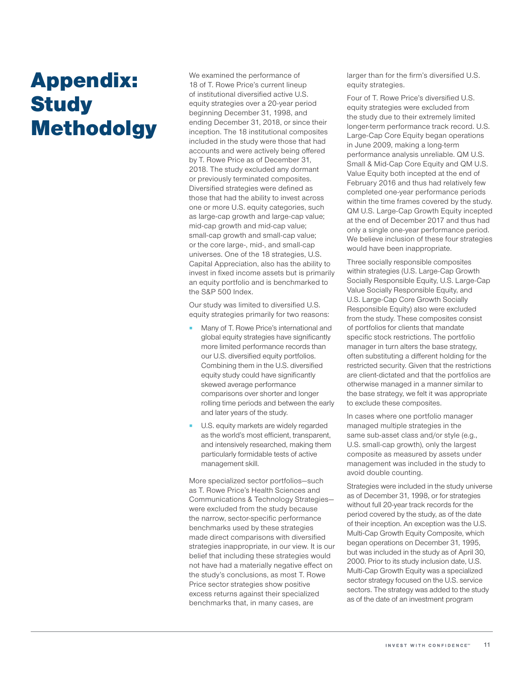# Appendix: **Study** Methodolgy

We examined the performance of 18 of T. Rowe Price's current lineup of institutional diversified active U.S. equity strategies over a 20‑year period beginning December 31, 1998, and ending December 31, 2018, or since their inception. The 18 institutional composites included in the study were those that had accounts and were actively being offered by T. Rowe Price as of December 31, 2018. The study excluded any dormant or previously terminated composites. Diversified strategies were defined as those that had the ability to invest across one or more U.S. equity categories, such as large-cap growth and large-cap value; mid‑cap growth and mid‑cap value; small-cap growth and small-cap value; or the core large-, mid-, and small-cap universes. One of the 18 strategies, U.S. Capital Appreciation, also has the ability to invest in fixed income assets but is primarily an equity portfolio and is benchmarked to the S&P 500 Index.

Our study was limited to diversified U.S. equity strategies primarily for two reasons:

- Many of T. Rowe Price's international and global equity strategies have significantly more limited performance records than our U.S. diversified equity portfolios. Combining them in the U.S. diversified equity study could have significantly skewed average performance comparisons over shorter and longer rolling time periods and between the early and later years of the study.
- U.S. equity markets are widely regarded as the world's most efficient, transparent, and intensively researched, making them particularly formidable tests of active management skill.

More specialized sector portfolios—such as T. Rowe Price's Health Sciences and Communications & Technology Strategies were excluded from the study because the narrow, sector‑specific performance benchmarks used by these strategies made direct comparisons with diversified strategies inappropriate, in our view. It is our belief that including these strategies would not have had a materially negative effect on the study's conclusions, as most T. Rowe Price sector strategies show positive excess returns against their specialized benchmarks that, in many cases, are

larger than for the firm's diversified U.S. equity strategies.

Four of T. Rowe Price's diversified U.S. equity strategies were excluded from the study due to their extremely limited longer-term performance track record. U.S. Large‑Cap Core Equity began operations in June 2009, making a long-term performance analysis unreliable. QM U.S. Small & Mid‑Cap Core Equity and QM U.S. Value Equity both incepted at the end of February 2016 and thus had relatively few completed one‑year performance periods within the time frames covered by the study. QM U.S. Large-Cap Growth Equity incepted at the end of December 2017 and thus had only a single one‑year performance period. We believe inclusion of these four strategies would have been inappropriate.

Three socially responsible composites within strategies (U.S. Large-Cap Growth Socially Responsible Equity, U.S. Large-Cap Value Socially Responsible Equity, and U.S. Large-Cap Core Growth Socially Responsible Equity) also were excluded from the study. These composites consist of portfolios for clients that mandate specific stock restrictions. The portfolio manager in turn alters the base strategy, often substituting a different holding for the restricted security. Given that the restrictions are client‑dictated and that the portfolios are otherwise managed in a manner similar to the base strategy, we felt it was appropriate to exclude these composites.

In cases where one portfolio manager managed multiple strategies in the same sub-asset class and/or style (e.g., U.S. small-cap growth), only the largest composite as measured by assets under management was included in the study to avoid double counting.

Strategies were included in the study universe as of December 31, 1998, or for strategies without full 20‑year track records for the period covered by the study, as of the date of their inception. An exception was the U.S. Multi-Cap Growth Equity Composite, which began operations on December 31, 1995, but was included in the study as of April 30, 2000. Prior to its study inclusion date, U.S. Multi‑Cap Growth Equity was a specialized sector strategy focused on the U.S. service sectors. The strategy was added to the study as of the date of an investment program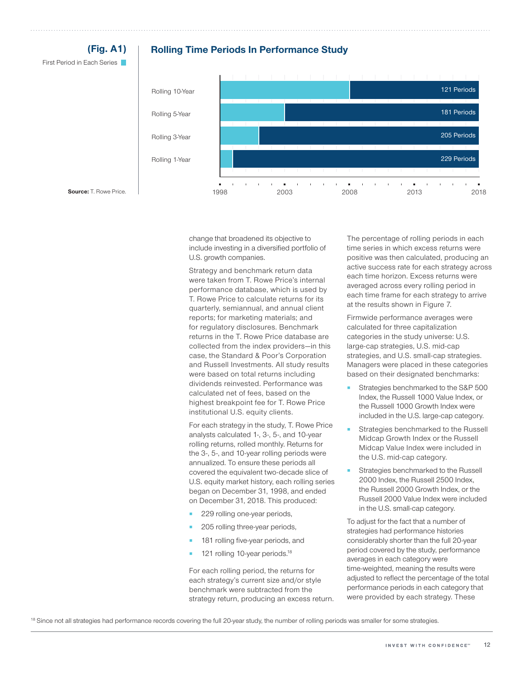

change that broadened its objective to include investing in a diversified portfolio of U.S. growth companies.

Strategy and benchmark return data were taken from T. Rowe Price's internal performance database, which is used by T. Rowe Price to calculate returns for its quarterly, semiannual, and annual client reports; for marketing materials; and for regulatory disclosures. Benchmark returns in the T. Rowe Price database are collected from the index providers—in this case, the Standard & Poor's Corporation and Russell Investments. All study results were based on total returns including dividends reinvested. Performance was calculated net of fees, based on the highest breakpoint fee for T. Rowe Price institutional U.S. equity clients.

For each strategy in the study, T. Rowe Price analysts calculated 1‑, 3‑, 5‑, and 10‑year rolling returns, rolled monthly. Returns for the 3‑, 5‑, and 10‑year rolling periods were annualized. To ensure these periods all covered the equivalent two‑decade slice of U.S. equity market history, each rolling series began on December 31, 1998, and ended on December 31, 2018. This produced:

- 229 rolling one-year periods,
- 205 rolling three-year periods,
- 181 rolling five-year periods, and
- 121 rolling 10-year periods.<sup>18</sup>

For each rolling period, the returns for each strategy's current size and/or style benchmark were subtracted from the strategy return, producing an excess return. The percentage of rolling periods in each time series in which excess returns were positive was then calculated, producing an active success rate for each strategy across each time horizon. Excess returns were averaged across every rolling period in each time frame for each strategy to arrive at the results shown in Figure 7.

Firmwide performance averages were calculated for three capitalization categories in the study universe: U.S. large‑cap strategies, U.S. mid‑cap strategies, and U.S. small-cap strategies. Managers were placed in these categories based on their designated benchmarks:

- Strategies benchmarked to the S&P 500 Index, the Russell 1000 Value Index, or the Russell 1000 Growth Index were included in the U.S. large‑cap category.
- Strategies benchmarked to the Russell Midcap Growth Index or the Russell Midcap Value Index were included in the U.S. mid‑cap category.
- Strategies benchmarked to the Russell 2000 Index, the Russell 2500 Index, the Russell 2000 Growth Index, or the Russell 2000 Value Index were included in the U.S. small-cap category.

To adjust for the fact that a number of strategies had performance histories considerably shorter than the full 20‑year period covered by the study, performance averages in each category were time‑weighted, meaning the results were adjusted to reflect the percentage of the total performance periods in each category that were provided by each strategy. These

<sup>18</sup> Since not all strategies had performance records covering the full 20-year study, the number of rolling periods was smaller for some strategies.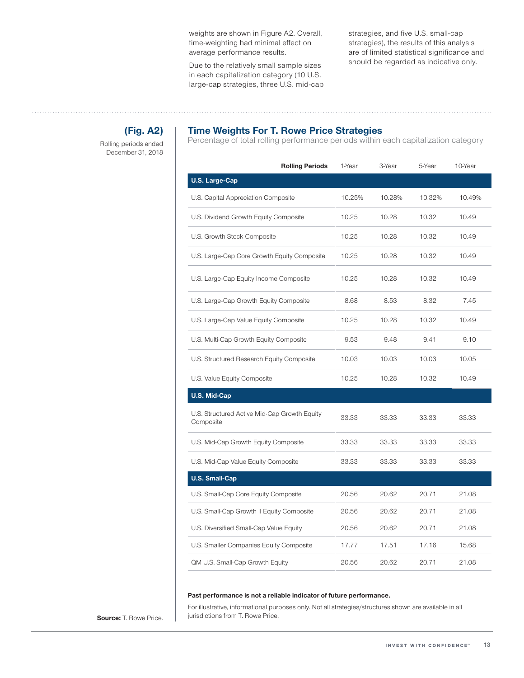weights are shown in Figure A2. Overall, time‑weighting had minimal effect on average performance results.

Due to the relatively small sample sizes in each capitalization category (10 U.S. large-cap strategies, three U.S. mid-cap strategies, and five U.S. small-cap strategies), the results of this analysis are of limited statistical significance and should be regarded as indicative only.

## **(Fig. A2)**

Rolling periods ended December 31, 2018

### **Time Weights For T. Rowe Price Strategies**

Percentage of total rolling performance periods within each capitalization category

| <b>Rolling Periods</b>                                    | 1-Year | 3-Year | 5-Year | 10-Year |
|-----------------------------------------------------------|--------|--------|--------|---------|
| <b>U.S. Large-Cap</b>                                     |        |        |        |         |
| U.S. Capital Appreciation Composite                       | 10.25% | 10.28% | 10.32% | 10.49%  |
| U.S. Dividend Growth Equity Composite                     | 10.25  | 10.28  | 10.32  | 10.49   |
| U.S. Growth Stock Composite                               | 10.25  | 10.28  | 10.32  | 10.49   |
| U.S. Large-Cap Core Growth Equity Composite               | 10.25  | 10.28  | 10.32  | 10.49   |
| U.S. Large-Cap Equity Income Composite                    | 10.25  | 10.28  | 10.32  | 10.49   |
| U.S. Large-Cap Growth Equity Composite                    | 8.68   | 8.53   | 8.32   | 7.45    |
| U.S. Large-Cap Value Equity Composite                     | 10.25  | 10.28  | 10.32  | 10.49   |
| U.S. Multi-Cap Growth Equity Composite                    | 9.53   | 9.48   | 9.41   | 9.10    |
| U.S. Structured Research Equity Composite                 | 10.03  | 10.03  | 10.03  | 10.05   |
| U.S. Value Equity Composite                               | 10.25  | 10.28  | 10.32  | 10.49   |
| <b>U.S. Mid-Cap</b>                                       |        |        |        |         |
| U.S. Structured Active Mid-Cap Growth Equity<br>Composite | 33.33  | 33.33  | 33.33  | 33.33   |
| U.S. Mid-Cap Growth Equity Composite                      | 33.33  | 33.33  | 33.33  | 33.33   |
| U.S. Mid-Cap Value Equity Composite                       | 33.33  | 33.33  | 33.33  | 33.33   |
| <b>U.S. Small-Cap</b>                                     |        |        |        |         |
| U.S. Small-Cap Core Equity Composite                      | 20.56  | 20.62  | 20.71  | 21.08   |
| U.S. Small-Cap Growth II Equity Composite                 | 20.56  | 20.62  | 20.71  | 21.08   |
| U.S. Diversified Small-Cap Value Equity                   | 20.56  | 20.62  | 20.71  | 21.08   |
| U.S. Smaller Companies Equity Composite                   | 17.77  | 17.51  | 17.16  | 15.68   |
| QM U.S. Small-Cap Growth Equity                           | 20.56  | 20.62  | 20.71  | 21.08   |

### **Past performance is not a reliable indicator of future performance.**

For illustrative, informational purposes only. Not all strategies/structures shown are available in all **Source:** T. Rowe Price. | jurisdictions from T. Rowe Price.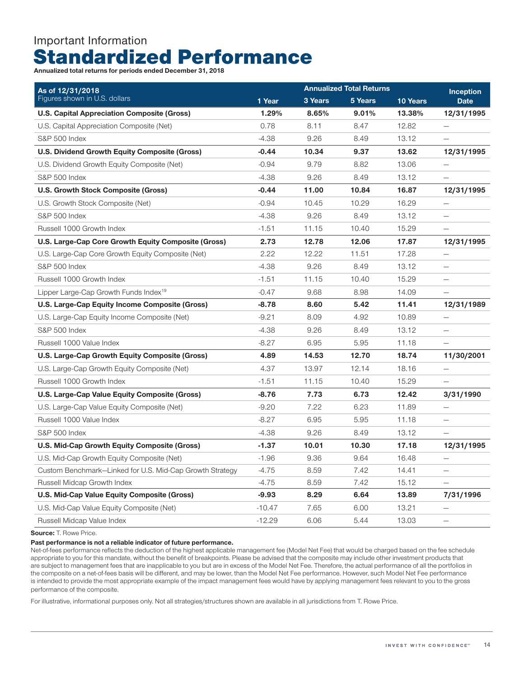# Important Information Standardized Performance

**Annualized total returns for periods ended December 31, 2018**

| As of 12/31/2018                                         |          | <b>Inception</b> |         |          |                          |
|----------------------------------------------------------|----------|------------------|---------|----------|--------------------------|
| Figures shown in U.S. dollars                            | 1 Year   | 3 Years          | 5 Years | 10 Years | <b>Date</b>              |
| <b>U.S. Capital Appreciation Composite (Gross)</b>       | 1.29%    | 8.65%            | 9.01%   | 13.38%   | 12/31/1995               |
| U.S. Capital Appreciation Composite (Net)                | 0.78     | 8.11             | 8.47    | 12.82    |                          |
| <b>S&amp;P 500 Index</b>                                 | $-4.38$  | 9.26             | 8.49    | 13.12    |                          |
| U.S. Dividend Growth Equity Composite (Gross)            | $-0.44$  | 10.34            | 9.37    | 13.62    | 12/31/1995               |
| U.S. Dividend Growth Equity Composite (Net)              | $-0.94$  | 9.79             | 8.82    | 13.06    | $\overline{\phantom{0}}$ |
| <b>S&amp;P 500 Index</b>                                 | $-4.38$  | 9.26             | 8.49    | 13.12    |                          |
| <b>U.S. Growth Stock Composite (Gross)</b>               | $-0.44$  | 11.00            | 10.84   | 16.87    | 12/31/1995               |
| U.S. Growth Stock Composite (Net)                        | $-0.94$  | 10.45            | 10.29   | 16.29    |                          |
| <b>S&amp;P 500 Index</b>                                 | $-4.38$  | 9.26             | 8.49    | 13.12    |                          |
| Russell 1000 Growth Index                                | $-1.51$  | 11.15            | 10.40   | 15.29    |                          |
| U.S. Large-Cap Core Growth Equity Composite (Gross)      | 2.73     | 12.78            | 12.06   | 17.87    | 12/31/1995               |
| U.S. Large-Cap Core Growth Equity Composite (Net)        | 2.22     | 12.22            | 11.51   | 17.28    | $\qquad \qquad -$        |
| S&P 500 Index                                            | $-4.38$  | 9.26             | 8.49    | 13.12    | $\qquad \qquad -$        |
| Russell 1000 Growth Index                                | $-1.51$  | 11.15            | 10.40   | 15.29    | $\overline{\phantom{m}}$ |
| Lipper Large-Cap Growth Funds Index <sup>19</sup>        | $-0.47$  | 9.68             | 8.98    | 14.09    |                          |
| U.S. Large-Cap Equity Income Composite (Gross)           | $-8.78$  | 8.60             | 5.42    | 11.41    | 12/31/1989               |
| U.S. Large-Cap Equity Income Composite (Net)             | $-9.21$  | 8.09             | 4.92    | 10.89    |                          |
| <b>S&amp;P 500 Index</b>                                 | $-4.38$  | 9.26             | 8.49    | 13.12    |                          |
| Russell 1000 Value Index                                 | $-8.27$  | 6.95             | 5.95    | 11.18    |                          |
| U.S. Large-Cap Growth Equity Composite (Gross)           | 4.89     | 14.53            | 12.70   | 18.74    | 11/30/2001               |
| U.S. Large-Cap Growth Equity Composite (Net)             | 4.37     | 13.97            | 12.14   | 18.16    | -                        |
| Russell 1000 Growth Index                                | $-1.51$  | 11.15            | 10.40   | 15.29    | $\overline{\phantom{0}}$ |
| U.S. Large-Cap Value Equity Composite (Gross)            | $-8.76$  | 7.73             | 6.73    | 12.42    | 3/31/1990                |
| U.S. Large-Cap Value Equity Composite (Net)              | $-9.20$  | 7.22             | 6.23    | 11.89    |                          |
| Russell 1000 Value Index                                 | $-8.27$  | 6.95             | 5.95    | 11.18    |                          |
| <b>S&amp;P 500 Index</b>                                 | $-4.38$  | 9.26             | 8.49    | 13.12    |                          |
| U.S. Mid-Cap Growth Equity Composite (Gross)             | -1.37    | 10.01            | 10.30   | 17.18    | 12/31/1995               |
| U.S. Mid-Cap Growth Equity Composite (Net)               | $-1.96$  | 9.36             | 9.64    | 16.48    | $\qquad \qquad -$        |
| Custom Benchmark-Linked for U.S. Mid-Cap Growth Strategy | $-4.75$  | 8.59             | 7.42    | 14.41    | $\overline{\phantom{0}}$ |
| Russell Midcap Growth Index                              | $-4.75$  | 8.59             | 7.42    | 15.12    |                          |
| U.S. Mid-Cap Value Equity Composite (Gross)              | $-9.93$  | 8.29             | 6.64    | 13.89    | 7/31/1996                |
| U.S. Mid-Cap Value Equity Composite (Net)                | $-10.47$ | 7.65             | 6.00    | 13.21    |                          |
| Russell Midcap Value Index                               | $-12.29$ | 6.06             | 5.44    | 13.03    | $\overline{\phantom{0}}$ |

**Source:** T. Rowe Price.

**Past performance is not a reliable indicator of future performance.**

Net-of-fees performance reflects the deduction of the highest applicable management fee (Model Net Fee) that would be charged based on the fee schedule appropriate to you for this mandate, without the benefit of breakpoints. Please be advised that the composite may include other investment products that are subject to management fees that are inapplicable to you but are in excess of the Model Net Fee. Therefore, the actual performance of all the portfolios in the composite on a net-of-fees basis will be different, and may be lower, than the Model Net Fee performance. However, such Model Net Fee performance is intended to provide the most appropriate example of the impact management fees would have by applying management fees relevant to you to the gross performance of the composite.

For illustrative, informational purposes only. Not all strategies/structures shown are available in all jurisdictions from T. Rowe Price.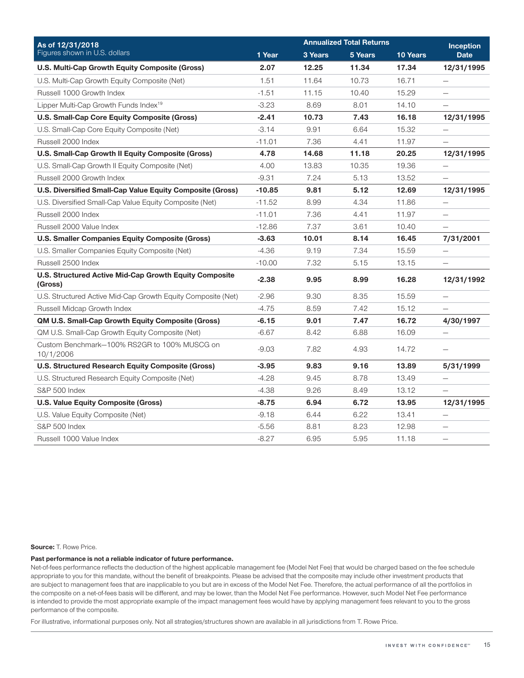| As of 12/31/2018                                                  |          | <b>Annualized Total Returns</b> | <b>Inception</b> |          |                          |
|-------------------------------------------------------------------|----------|---------------------------------|------------------|----------|--------------------------|
| Figures shown in U.S. dollars                                     | 1 Year   | 3 Years                         | 5 Years          | 10 Years | <b>Date</b>              |
| U.S. Multi-Cap Growth Equity Composite (Gross)                    | 2.07     | 12.25                           | 11.34            | 17.34    | 12/31/1995               |
| U.S. Multi-Cap Growth Equity Composite (Net)                      | 1.51     | 11.64                           | 10.73            | 16.71    | $\qquad \qquad -$        |
| Russell 1000 Growth Index                                         | $-1.51$  | 11.15                           | 10.40            | 15.29    | $\overline{\phantom{0}}$ |
| Lipper Multi-Cap Growth Funds Index <sup>19</sup>                 | $-3.23$  | 8.69                            | 8.01             | 14.10    |                          |
| U.S. Small-Cap Core Equity Composite (Gross)                      | $-2.41$  | 10.73                           | 7.43             | 16.18    | 12/31/1995               |
| U.S. Small-Cap Core Equity Composite (Net)                        | -3.14    | 9.91                            | 6.64             | 15.32    | -                        |
| Russell 2000 Index                                                | $-11.01$ | 7.36                            | 4.41             | 11.97    | $\overline{\phantom{0}}$ |
| U.S. Small-Cap Growth II Equity Composite (Gross)                 | 4.78     | 14.68                           | 11.18            | 20.25    | 12/31/1995               |
| U.S. Small-Cap Growth II Equity Composite (Net)                   | 4.00     | 13.83                           | 10.35            | 19.36    |                          |
| Russell 2000 Growth Index                                         | $-9.31$  | 7.24                            | 5.13             | 13.52    |                          |
| U.S. Diversified Small-Cap Value Equity Composite (Gross)         | $-10.85$ | 9.81                            | 5.12             | 12.69    | 12/31/1995               |
| U.S. Diversified Small-Cap Value Equity Composite (Net)           | $-11.52$ | 8.99                            | 4.34             | 11.86    | $\overline{\phantom{0}}$ |
| Russell 2000 Index                                                | $-11.01$ | 7.36                            | 4.41             | 11.97    | $\overline{\phantom{0}}$ |
| Russell 2000 Value Index                                          | $-12.86$ | 7.37                            | 3.61             | 10.40    |                          |
| U.S. Smaller Companies Equity Composite (Gross)                   | $-3.63$  | 10.01                           | 8.14             | 16.45    | 7/31/2001                |
| U.S. Smaller Companies Equity Composite (Net)                     | $-4.36$  | 9.19                            | 7.34             | 15.59    | $\qquad \qquad -$        |
| Russell 2500 Index                                                | $-10.00$ | 7.32                            | 5.15             | 13.15    | $\overline{\phantom{0}}$ |
| U.S. Structured Active Mid-Cap Growth Equity Composite<br>(Gross) | $-2.38$  | 9.95                            | 8.99             | 16.28    | 12/31/1992               |
| U.S. Structured Active Mid-Cap Growth Equity Composite (Net)      | $-2.96$  | 9.30                            | 8.35             | 15.59    |                          |
| Russell Midcap Growth Index                                       | $-4.75$  | 8.59                            | 7.42             | 15.12    |                          |
| QM U.S. Small-Cap Growth Equity Composite (Gross)                 | $-6.15$  | 9.01                            | 7.47             | 16.72    | 4/30/1997                |
| QM U.S. Small-Cap Growth Equity Composite (Net)                   | $-6.67$  | 8.42                            | 6.88             | 16.09    | $\overline{\phantom{0}}$ |
| Custom Benchmark-100% RS2GR to 100% MUSCG on<br>10/1/2006         | $-9.03$  | 7.82                            | 4.93             | 14.72    | $\qquad \qquad -$        |
| U.S. Structured Research Equity Composite (Gross)                 | $-3.95$  | 9.83                            | 9.16             | 13.89    | 5/31/1999                |
| U.S. Structured Research Equity Composite (Net)                   | $-4.28$  | 9.45                            | 8.78             | 13.49    |                          |
| <b>S&amp;P 500 Index</b>                                          | $-4.38$  | 9.26                            | 8.49             | 13.12    |                          |
| U.S. Value Equity Composite (Gross)                               | $-8.75$  | 6.94                            | 6.72             | 13.95    | 12/31/1995               |
| U.S. Value Equity Composite (Net)                                 | $-9.18$  | 6.44                            | 6.22             | 13.41    | -                        |
| <b>S&amp;P 500 Index</b>                                          | $-5.56$  | 8.81                            | 8.23             | 12.98    | $\overline{\phantom{m}}$ |
| Russell 1000 Value Index                                          | $-8.27$  | 6.95                            | 5.95             | 11.18    | $\overline{\phantom{0}}$ |

**Source:** T. Rowe Price.

#### **Past performance is not a reliable indicator of future performance.**

Net-of-fees performance reflects the deduction of the highest applicable management fee (Model Net Fee) that would be charged based on the fee schedule appropriate to you for this mandate, without the benefit of breakpoints. Please be advised that the composite may include other investment products that are subject to management fees that are inapplicable to you but are in excess of the Model Net Fee. Therefore, the actual performance of all the portfolios in the composite on a net-of-fees basis will be different, and may be lower, than the Model Net Fee performance. However, such Model Net Fee performance is intended to provide the most appropriate example of the impact management fees would have by applying management fees relevant to you to the gross performance of the composite.

For illustrative, informational purposes only. Not all strategies/structures shown are available in all jurisdictions from T. Rowe Price.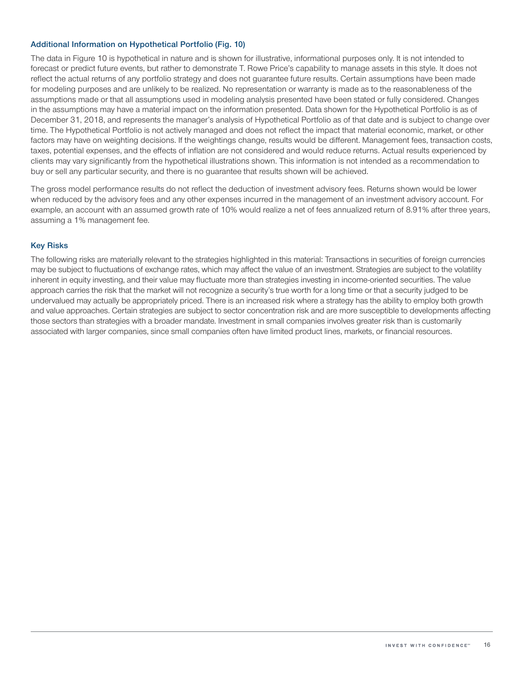### **Additional Information on Hypothetical Portfolio (Fig. 10)**

The data in Figure 10 is hypothetical in nature and is shown for illustrative, informational purposes only. It is not intended to forecast or predict future events, but rather to demonstrate T. Rowe Price's capability to manage assets in this style. It does not reflect the actual returns of any portfolio strategy and does not guarantee future results. Certain assumptions have been made for modeling purposes and are unlikely to be realized. No representation or warranty is made as to the reasonableness of the assumptions made or that all assumptions used in modeling analysis presented have been stated or fully considered. Changes in the assumptions may have a material impact on the information presented. Data shown for the Hypothetical Portfolio is as of December 31, 2018, and represents the manager's analysis of Hypothetical Portfolio as of that date and is subject to change over time. The Hypothetical Portfolio is not actively managed and does not reflect the impact that material economic, market, or other factors may have on weighting decisions. If the weightings change, results would be different. Management fees, transaction costs, taxes, potential expenses, and the effects of inflation are not considered and would reduce returns. Actual results experienced by clients may vary significantly from the hypothetical illustrations shown. This information is not intended as a recommendation to buy or sell any particular security, and there is no guarantee that results shown will be achieved.

The gross model performance results do not reflect the deduction of investment advisory fees. Returns shown would be lower when reduced by the advisory fees and any other expenses incurred in the management of an investment advisory account. For example, an account with an assumed growth rate of 10% would realize a net of fees annualized return of 8.91% after three years, assuming a 1% management fee.

### **Key Risks**

The following risks are materially relevant to the strategies highlighted in this material: Transactions in securities of foreign currencies may be subject to fluctuations of exchange rates, which may affect the value of an investment. Strategies are subject to the volatility inherent in equity investing, and their value may fluctuate more than strategies investing in income-oriented securities. The value approach carries the risk that the market will not recognize a security's true worth for a long time or that a security judged to be undervalued may actually be appropriately priced. There is an increased risk where a strategy has the ability to employ both growth and value approaches. Certain strategies are subject to sector concentration risk and are more susceptible to developments affecting those sectors than strategies with a broader mandate. Investment in small companies involves greater risk than is customarily associated with larger companies, since small companies often have limited product lines, markets, or financial resources.